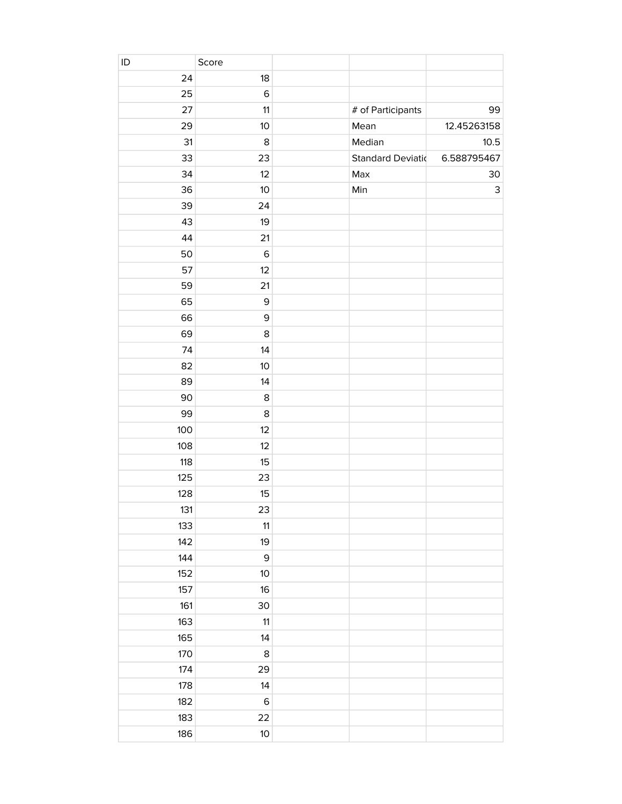| ID    | Score       |                           |                           |
|-------|-------------|---------------------------|---------------------------|
| 24    | 18          |                           |                           |
| 25    | $\mathsf 6$ |                           |                           |
| 27    | 11          | # of Participants         | 99                        |
| 29    | 10          | Mean                      | 12.45263158               |
| 31    | 8           | Median                    | 10.5                      |
| 33    | 23          | <b>Standard Deviation</b> | 6.588795467               |
| 34    | 12          | Max                       | 30                        |
| 36    | 10          | Min                       | $\ensuremath{\mathsf{3}}$ |
| 39    | 24          |                           |                           |
| 43    | 19          |                           |                           |
| 44    | 21          |                           |                           |
| 50    | $\mathsf 6$ |                           |                           |
| 57    | 12          |                           |                           |
| 59    | 21          |                           |                           |
| 65    | $\mathsf 9$ |                           |                           |
| 66    | $\mathsf 9$ |                           |                           |
| 69    | $\bf 8$     |                           |                           |
| 74    | 14          |                           |                           |
| 82    | 10          |                           |                           |
| 89    | 14          |                           |                           |
| 90    | $\bf 8$     |                           |                           |
| 99    | 8           |                           |                           |
| 100   | 12          |                           |                           |
| 108   | 12          |                           |                           |
| 118   | 15          |                           |                           |
| 125   | 23          |                           |                           |
| 128   | 15          |                           |                           |
| 131   | 23          |                           |                           |
| 133   | $11$        |                           |                           |
| 142   | 19          |                           |                           |
| 144   | $\mathsf 9$ |                           |                           |
| 152   | $10$        |                           |                           |
| 157   | 16          |                           |                           |
| 161   | 30          |                           |                           |
| 163   | $11$        |                           |                           |
| $165$ | 14          |                           |                           |
| 170   | $\,8\,$     |                           |                           |
| 174   | 29          |                           |                           |
| 178   | 14          |                           |                           |
| 182   | $\,6$       |                           |                           |
| 183   | 22          |                           |                           |
| 186   | $10$        |                           |                           |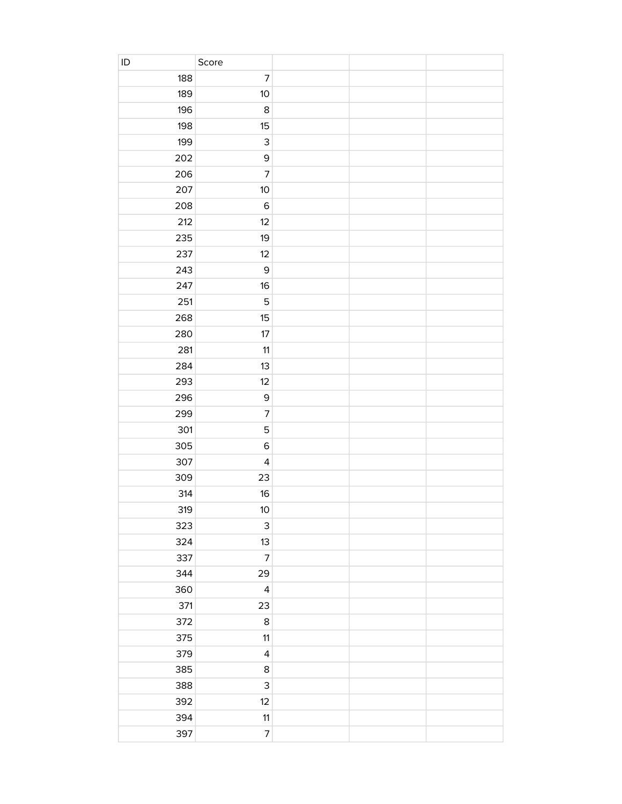| $\sf ID$ | Score                    |  |  |
|----------|--------------------------|--|--|
| 188      | $\overline{7}$           |  |  |
| 189      | 10                       |  |  |
| 196      | $\,8\,$                  |  |  |
| 198      | 15                       |  |  |
| 199      | $\mathsf{3}$             |  |  |
| 202      | $\mathsf 9$              |  |  |
| 206      | $\overline{7}$           |  |  |
| 207      | $10$                     |  |  |
| 208      | $\mathsf 6$              |  |  |
| 212      | 12                       |  |  |
| 235      | 19                       |  |  |
| 237      | 12                       |  |  |
| 243      | $\mathsf 9$              |  |  |
| 247      | 16                       |  |  |
| 251      | 5                        |  |  |
| 268      | 15                       |  |  |
| 280      | 17                       |  |  |
| 281      | 11                       |  |  |
| 284      | 13                       |  |  |
| 293      | 12                       |  |  |
| 296      | $\mathsf 9$              |  |  |
| 299      | $\overline{7}$           |  |  |
| 301      | 5                        |  |  |
| 305      | $\mathsf 6$              |  |  |
| 307      | $\overline{\mathbf{4}}$  |  |  |
| 309      | 23                       |  |  |
| 314      | 16                       |  |  |
| 319      | 10 <sup>°</sup>          |  |  |
| 323      | 3                        |  |  |
| 324      | 13                       |  |  |
| 337      | $\overline{\mathcal{I}}$ |  |  |
| 344      | 29                       |  |  |
| 360      | $\overline{\mathbf{4}}$  |  |  |
| 371      | 23                       |  |  |
| 372      | $\,8\,$                  |  |  |
| 375      | 11                       |  |  |
| 379      | $\overline{\mathbf{4}}$  |  |  |
| 385      | $\bf 8$                  |  |  |
| 388      | 3                        |  |  |
| 392      | 12                       |  |  |
| 394      | 11                       |  |  |
| 397      | $\overline{\mathcal{I}}$ |  |  |